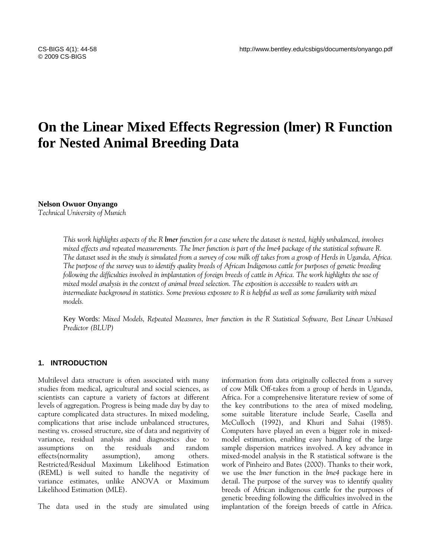# **On the Linear Mixed Effects Regression (lmer) R Function for Nested Animal Breeding Data**

#### **Nelson Owuor Onyango**

*Technical University of Munich* 

 *This work highlights aspects of the R lmer function for a case where the dataset is nested, highly unbalanced, involves mixed effects and repeated measurements. The lmer function is part of the lme4 package of the statistical software R. The dataset used in the study is simulated from a survey of cow milk off takes from a group of Herds in Uganda, Africa. The purpose of the survey was to identify quality breeds of African Indigenous cattle for purposes of genetic breeding following the difficulties involved in implantation of foreign breeds of cattle in Africa. The work highlights the use of mixed model analysis in the context of animal breed selection. The exposition is accessible to readers with an intermediate background in statistics. Some previous exposure to R is helpful as well as some familiarity with mixed models.* 

Key Words: *Mixed Models, Repeated Measures, lmer function in the R Statistical Software, Best Linear Unbiased Predictor (BLUP)*

## **1. INTRODUCTION**

Multilevel data structure is often associated with many studies from medical, agricultural and social sciences, as scientists can capture a variety of factors at different levels of aggregation. Progress is being made day by day to capture complicated data structures. In mixed modeling, complications that arise include unbalanced structures, nesting vs. crossed structure, size of data and negativity of variance, residual analysis and diagnostics due to assumptions on the residuals and random effects(normality assumption), among others. Restricted/Residual Maximum Likelihood Estimation (REML) is well suited to handle the negativity of variance estimates, unlike ANOVA or Maximum Likelihood Estimation (MLE).

The data used in the study are simulated using

information from data originally collected from a survey of cow Milk Off-takes from a group of herds in Uganda, Africa. For a comprehensive literature review of some of the key contributions to the area of mixed modeling, some suitable literature include Searle, Casella and McCulloch (1992), and Khuri and Sahai (1985). Computers have played an even a bigger role in mixedmodel estimation, enabling easy handling of the large sample dispersion matrices involved. A key advance in mixed-model analysis in the R statistical software is the work of Pinheiro and Bates (2000). Thanks to their work, we use the *lmer* function in the *lme4* package here in detail. The purpose of the survey was to identify quality breeds of African indigenous cattle for the purposes of genetic breeding following the difficulties involved in the implantation of the foreign breeds of cattle in Africa.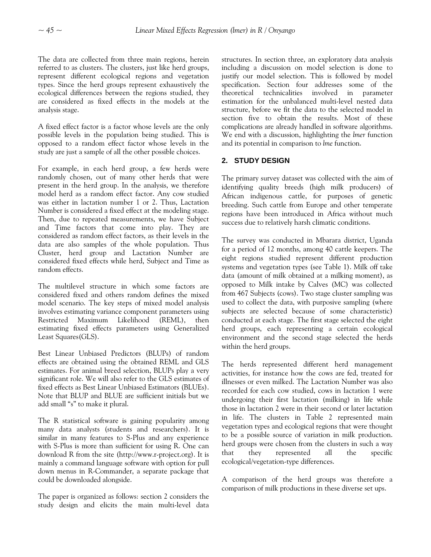The data are collected from three main regions, herein referred to as clusters. The clusters, just like herd groups, represent different ecological regions and vegetation types. Since the herd groups represent exhaustively the ecological differences between the regions studied, they are considered as fixed effects in the models at the analysis stage.

A fixed effect factor is a factor whose levels are the only possible levels in the population being studied. This is opposed to a random effect factor whose levels in the study are just a sample of all the other possible choices.

For example, in each herd group, a few herds were randomly chosen, out of many other herds that were present in the herd group. In the analysis, we therefore model herd as a random effect factor. Any cow studied was either in lactation number 1 or 2. Thus, Lactation Number is considered a fixed effect at the modeling stage. Then, due to repeated measurements, we have Subject and Time factors that come into play. They are considered as random effect factors, as their levels in the data are also samples of the whole population. Thus Cluster, herd group and Lactation Number are considered fixed effects while herd, Subject and Time as random effects.

The multilevel structure in which some factors are considered fixed and others random defines the mixed model scenario. The key steps of mixed model analysis involves estimating variance component parameters using Restricted Maximum Likelihood (REML), then estimating fixed effects parameters using Generalized Least Squares(GLS).

Best Linear Unbiased Predictors (BLUPs) of random effects are obtained using the obtained REML and GLS estimates. For animal breed selection, BLUPs play a very significant role. We will also refer to the GLS estimates of fixed effects as Best Linear Unbiased Estimators (BLUEs). Note that BLUP and BLUE are sufficient initials but we add small "s" to make it plural.

The R statistical software is gaining popularity among many data analysts (students and researchers). It is similar in many features to S-Plus and any experience with S-Plus is more than sufficient for using R. One can download R from the site (http://www.r-project.org). It is mainly a command language software with option for pull down menus in R-Commander, a separate package that could be downloaded alongside.

The paper is organized as follows: section 2 considers the study design and elicits the main multi-level data structures. In section three, an exploratory data analysis including a discussion on model selection is done to justify our model selection. This is followed by model specification. Section four addresses some of the theoretical technicalities involved in parameter estimation for the unbalanced multi-level nested data structure, before we fit the data to the selected model in section five to obtain the results. Most of these complications are already handled in software algorithms. We end with a discussion, highlighting the *lmer* function and its potential in comparison to *lme* function.

# **2. STUDY DESIGN**

The primary survey dataset was collected with the aim of identifying quality breeds (high milk producers) of African indigenous cattle, for purposes of genetic breeding. Such cattle from Europe and other temperate regions have been introduced in Africa without much success due to relatively harsh climatic conditions.

The survey was conducted in Mbarara district, Uganda for a period of 12 months, among 40 cattle keepers. The eight regions studied represent different production systems and vegetation types (see Table 1). Milk off take data (amount of milk obtained at a milking moment), as opposed to Milk intake by Calves (MC) was collected from 467 Subjects (cows). Two stage cluster sampling was used to collect the data, with purposive sampling (where subjects are selected because of some characteristic) conducted at each stage. The first stage selected the eight herd groups, each representing a certain ecological environment and the second stage selected the herds within the herd groups.

The herds represented different herd management activities, for instance how the cows are fed, treated for illnesses or even milked. The Lactation Number was also recorded for each cow studied, cows in lactation 1 were undergoing their first lactation (milking) in life while those in lactation 2 were in their second or later lactation in life. The clusters in Table 2 represented main vegetation types and ecological regions that were thought to be a possible source of variation in milk production. herd groups were chosen from the clusters in such a way that they represented all the specific ecological/vegetation-type differences.

A comparison of the herd groups was therefore a comparison of milk productions in these diverse set ups.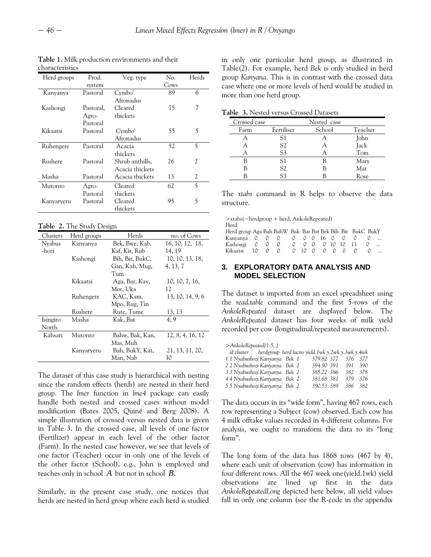| Herd groups | Prod.     | Veg. type       | No.  | Herds          |
|-------------|-----------|-----------------|------|----------------|
|             | system    |                 | Cows |                |
| Kanyanya    | Pastoral  | Cymbo'          | 89   | 6              |
|             |           | Afronadus       |      |                |
| Kashongi    | Pastoral, | Cleared         | 75   |                |
|             | Agro-     | thickets        |      |                |
|             | Pastoral  |                 |      |                |
| Kikaatsi    | Pastoral  | Cymbo'          | 55   | 5              |
|             |           | Afronadus       |      |                |
| Ruhengere   | Pastoral  | Acacia          | 52   | 5              |
|             |           | thickets        |      |                |
| Rushere     | Pastoral  | Shrub anthills, | 26   | $\mathfrak{D}$ |
|             |           | Acacia thickets |      |                |
| Masha       | Pastoral  | Acacia thickets | 13   | 2              |
| Mutonto     | Agro-     | Cleared         | 62   | 5              |
|             | Pastoral  | thickets        |      |                |
| Kanyaryeru  | Pastoral  | Cleared         | 95   | 5              |
|             |           | thickets        |      |                |

**Table 1.** Milk production environments and their characteristics

**Table 2.** The Study Design

| Clusters | Herd groups | Herds           | no. of Cows      |
|----------|-------------|-----------------|------------------|
| Nyabus   | Kanyanya    | Bek, Bwe, Kab,  | 16, 10, 12, 18,  |
| -hozi    |             | Kaf, Kir, Rub   | 14, 19           |
|          | Kashongi    | Bih, Bir, BukC, | 10, 10, 13, 18,  |
|          |             | Gan, Kah, Mug,  | 4, 13, 7         |
|          |             | Tum             |                  |
|          | Kikaatsi    | Aga, Bar, Kav,  | 10, 10, 7, 16,   |
|          |             | Mor, Uka        | 12               |
|          | Ruhengere   | KAC, Kam,       | 13, 10, 14, 9, 6 |
|          |             | Mpo, Rug, Tin   |                  |
|          | Rushere     | Rute, Tume      | 13, 13           |
| Isingiro | Masha       | Kak, Bat        | 4.9              |
| North    |             |                 |                  |
| Kahsari  | Mutonto     | Bahw, Bak, Kan, | 12, 8, 4, 16, 12 |
|          |             | Mas, Muh        |                  |
|          | Kanyaryeru  | Bah, BukY, Kat, | 21, 13, 11, 20,  |
|          |             | Man, Nab        | 30               |

The dataset of this case study is hierarchical with nesting since the random effects (herds) are nested in their herd group. The *lmer* function in *lme4* package can easily handle both nested and crossed cases without model modification (Bates 2005, Quiné and Berg 2008). A simple illustration of crossed versus nested data is given in Table 3. In the crossed case, all levels of one factor (Fertilizer) appear in each level of the other factor (Farm). In the nested case however, we see that levels of one factor (Teacher) occur in only one of the levels of the other factor (School), e.g., John is employed and teaches only in school *A* but not in school *B*.

Similarly, in the present case study, one notices that herds are nested in herd group where each herd is studied in only one particular herd group, as illustrated in Table(2). For example, herd *Bek* is only studied in herd group *Kanyana*. This is in contrast with the crossed data case where one or more levels of herd would be studied in more than one herd group.

|  |  |  |  |  | Table 3. Nested versus Crossed Datasets |
|--|--|--|--|--|-----------------------------------------|
|--|--|--|--|--|-----------------------------------------|

| Crossed case |                | Nested case |         |
|--------------|----------------|-------------|---------|
| Farm         | Fertiliser     | School      | Teacher |
| А            | S1             | А           | John    |
| А            | S <sub>2</sub> | А           | Jack    |
| А            | S <sub>3</sub> |             | Tom     |
| В            | S1             | В           | Mary    |
| R            | S <sub>2</sub> | В           | Mat     |
|              | S3             |             | Rose    |

The *xtabs* command in R helps to observe the data structure.

>xtabs(~herdgroup + herd, AnkoleRepeated) Herd

| Herd group Aga Bah BahW Bak Bar Bat Bek Bih Bir BukC BukY |  |  |  |  |  |  |
|-----------------------------------------------------------|--|--|--|--|--|--|
| Kanyanya 000000160000                                     |  |  |  |  |  |  |
| Kashongi 0 0 0 0 0 0 0 10 10 13 0                         |  |  |  |  |  |  |
| Kikaatsi 10 0 0 0 10 0 0 0 0 0 0                          |  |  |  |  |  |  |

## **3. EXPLORATORY DATA ANALYSIS AND MODEL SELECTION**

The dataset is imported from an excel spreadsheet using the *read.table* command and the first 5-rows of the *AnkoleRepeated* dataset are displayed below. The *AnkoleRepeated* dataset has four weeks of milk yield recorded per cow (longitudinal/repeated measurements).

| >AnkoleRepeated[1:5, 1                                       |            |     |     |
|--------------------------------------------------------------|------------|-----|-----|
| id cluster herdgroup herd lacno yield. 1wk y.2wk y.3wk y.4wk |            |     |     |
| 11 Nyabushozi Kanyanya Bek 1                                 | 379.82 377 | 376 | 377 |
| 2 2 Nyabushozi Kanyanya   Bek  2                             | 394.90 391 | 391 | 390 |
| 3 3 Nyabushozi Kanyanya   Bek  2                             | 385.22 386 | 382 | 378 |
| 4 4 Nyabushozi Kanyanya   Bek  2                             | 381.68 381 | 379 | 376 |
| 5 5 Nyabushozi Kanyanya   Bek  2                             | 390.53 389 | 386 | 382 |
|                                                              |            |     |     |

The data occurs in its "wide form", having 467 rows, each row representing a Subject (cow) observed. Each cow has 4 milk offtake values recorded in 4-different columns. For analysis, we ought to transform the data to its "long form".

The long form of the data has 1868 rows (467 by 4), where each unit of observation (cow) has information in four different rows. All the 467 week one(yield.1wk) yield observations are lined up first in the data *AnkoleRepeatedLong* depicted here below, all yield values fall in only one column (see the R-code in the appendix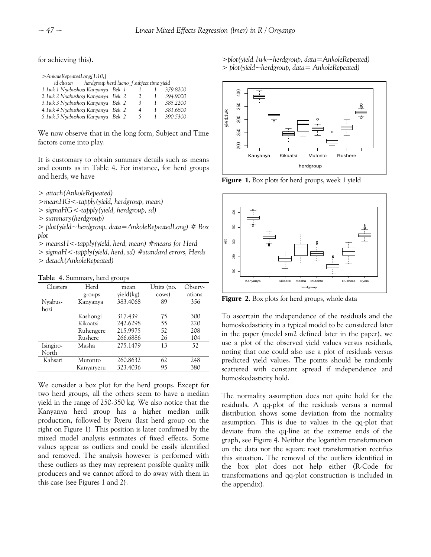for achieving this).

| >AnkoleRepeatedLong[1:10,]                              |   |   |          |
|---------------------------------------------------------|---|---|----------|
| herdgroup herd lacno f subject time yield<br>id cluster |   |   |          |
| 1.1wk 1 Nyabushozi Kanyanya Bek 1                       |   |   | 379.8200 |
| 2.1wk 2 Nyabushozi Kanyanya Bek 2                       | 2 | 1 | 394.9000 |
| 3.1wk 3 Nyabushozi Kanyanya Bek 2                       | 3 | I | 385.2200 |
| 4.1wk 4 Nyabushozi Kanyanya Bek 2                       | 4 | 1 | 381.6800 |
| 5.1wk 5 Nyabushozi Kanyanya Bek 2                       | 5 |   | 390.5300 |

We now observe that in the long form, Subject and Time factors come into play.

It is customary to obtain summary details such as means and counts as in Table 4. For instance, for herd groups and herds, we have

*> attach(AnkoleRepeated)* 

*>meanHG<-tapply(yield, herdgroup, mean)* 

*> sigmaHG<-tapply(yield, herdgroup, sd)* 

*> summary(herdgroup)* 

*> plot(yield~herdgroup, data=AnkoleRepeatedLong) # Box plot* 

*> meansH<-tapply(yield, herd, mean) #means for Herd* 

*> sigmaH<-tapply(yield, herd, sd) #standard errors, Herds > detach(AnkoleRepeated)*

#### **Table 4**. Summary, herd groups

| Clusters  | Herd       | mean      | Units (no. | Observ- |
|-----------|------------|-----------|------------|---------|
|           | groups     | yield(kg) | cows)      | ations  |
| Nyabus-   | Kanyanya   | 383.4068  | 89         | 356     |
| hozi      |            |           |            |         |
|           | Kashongi   | 317.439   | 75         | 300     |
|           | Kikaatsi   | 242.6298  | 55         | 220     |
|           | Ruhengere  | 215.9975  | 52         | 208     |
|           | Rushere    | 266.6886  | 26         | 104     |
| Isingiro- | Masha      | 275.1479  | 13         | 52      |
| North     |            |           |            |         |
| Kahsari   | Mutonto    | 260.8632  | 62         | 248     |
|           | Kanyaryeru | 323.4036  | 95         | 380     |

We consider a box plot for the herd groups. Except for two herd groups, all the others seem to have a median yield in the range of 250-350 kg. We also notice that the Kanyanya herd group has a higher median milk production, followed by Ryeru (last herd group on the right on Figure 1). This position is later confirmed by the mixed model analysis estimates of fixed effects. Some values appear as outliers and could be easily identified and removed. The analysis however is performed with these outliers as they may represent possible quality milk producers and we cannot afford to do away with them in this case (see Figures 1 and 2).

*>plot(yield.1wk~herdgroup, data=AnkoleRepeated) > plot(yield~herdgroup, data= AnkoleRepeated)*



**Figure 1.** Box plots for herd groups, week 1 yield



**Figure 2.** Box plots for herd groups, whole data

To ascertain the independence of the residuals and the homoskedasticity in a typical model to be considered later in the paper (model sm2 defined later in the paper), we use a plot of the observed yield values versus residuals, noting that one could also use a plot of residuals versus predicted yield values. The points should be randomly scattered with constant spread if independence and homoskedasticity hold.

The normality assumption does not quite hold for the residuals. A qq-plot of the residuals versus a normal distribution shows some deviation from the normality assumption. This is due to values in the qq-plot that deviate from the qq-line at the extreme ends of the graph, see Figure 4. Neither the logarithm transformation on the data nor the square root transformation rectifies this situation. The removal of the outliers identified in the box plot does not help either (R-Code for transformations and qq-plot construction is included in the appendix).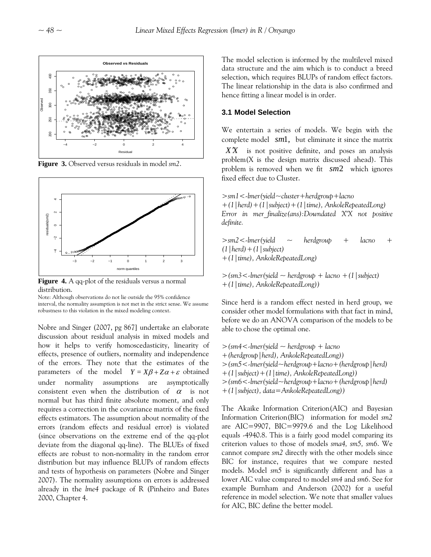

**Figure 3.** Observed versus residuals in model *sm2*.



**Figure 4.** A qq-plot of the residuals versus a normal distribution.

Note: Although observations do not lie outside the 95% confidence interval, the normality assumption is not met in the strict sense. We assume robustness to this violation in the mixed modeling context.

Nobre and Singer (2007, pg 867] undertake an elaborate discussion about residual analysis in mixed models and how it helps to verify homoscedasticity, linearity of effects, presence of outliers, normality and independence of the errors. They note that the estimates of the parameters of the model  $Y = X\beta + Z\alpha + \varepsilon$  obtained under normality assumptions are asymptotically consistent even when the distribution of  $\alpha$  is not normal but has third finite absolute moment, and only requires a correction in the covariance matrix of the fixed effects estimators. The assumption about normality of the errors (random effects and residual error) is violated (since observations on the extreme end of the qq-plot deviate from the diagonal qq-line). The BLUEs of fixed effects are robust to non-normality in the random error distribution but may influence BLUPs of random effects and tests of hypothesis on parameters (Nobre and Singer 2007). The normality assumptions on errors is addressed already in the *lme4* package of R (Pinheiro and Bates 2000, Chapter 4.

The model selection is informed by the multilevel mixed data structure and the aim which is to conduct a breed selection, which requires BLUPs of random effect factors. The linear relationship in the data is also confirmed and hence fitting a linear model is in order.

## **3.1 Model Selection**

We entertain a series of models. We begin with the complete model *sm*1, but eliminate it since the matrix *X* ′*X* is not positive definite, and poses an analysis problem(X is the design matrix discussed ahead). This problem is removed when we fit  $sm2$  which ignores fixed effect due to Cluster.

*>sm1<-lmer(yield~cluster+herdgroup+lacno +(1|herd)+(1|subject)+(1|time), AnkoleRepeatedLong) Error in mer\_finalize(ans):Downdated X'X not positive definite.* 

*>sm2<-lmer(yield ~ herdgroup + lacno + (1|herd)+(1|subject) +(1|time), AnkoleRepeatedLong)* 

*>(sm3<-lmer(yield ~ herdgroup + lacno +(1|subject) +(1|time), AnkoleRepeatedLong))*

Since herd is a random effect nested in herd group, we consider other model formulations with that fact in mind, before we do an ANOVA comparison of the models to be able to chose the optimal one.

- *>(sm4<-lmer(yield ~ herdgroup + lacno +(herdgroup|herd), AnkoleRepeatedLong)) >(sm5<-lmer(yield~herdgroup+lacno+(herdgroup|herd) +(1|subject)+(1|time), AnkoleRepeatedLong)) >(sm6<-lmer(yield~herdgroup+lacno+(herdgroup|herd)*
- *+(1|subject), data=AnkoleRepeatedLong))*

The Akaike Information Criterion(AIC) and Bayesian Information Criterion(BIC) information for model *sm2* are AIC=9907, BIC=9979.6 and the Log Likelihood equals -4940.8. This is a fairly good model comparing its criterion values to those of models *sma4, sm5, sm6*. We cannot compare *sm2* directly with the other models since BIC for instance, requires that we compare nested models. Model *sm5* is significantly different and has a lower AIC value compared to model *sm4* and *sm6*. See for example Burnham and Anderson (2002) for a useful reference in model selection. We note that smaller values for AIC, BIC define the better model.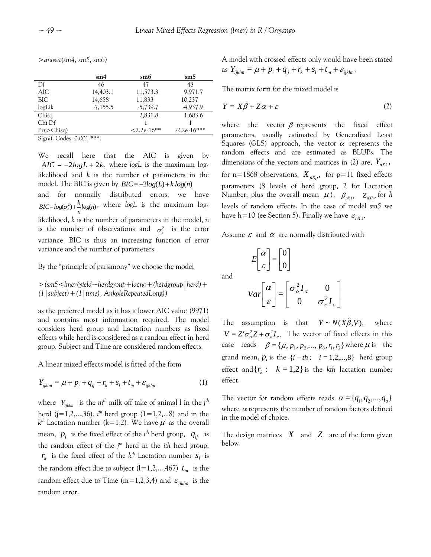|                       | sm4        | sm6           | $\mathrm{sm}5$ |
|-----------------------|------------|---------------|----------------|
| $\mathbf{D}$ f        | 46         | 47            | 48             |
| AIC                   | 14,403.1   | 11,573.3      | 9,971.7        |
| BIC                   | 14,658     | 11,833        | 10,237         |
| logLik                | $-7,155.5$ | $-5,739.7$    | $-4,937.9$     |
| Chisq                 |            | 2,831.8       | 1,603.6        |
| Chi Df                |            |               |                |
| $Pr(>\text{Chisq})$   |            | $< 2.2e-16**$ | $-2.2e-16***$  |
| Signif $Codes: 0.001$ | ***        |               |                |

Signif. Codes: 0.001 \*\*\*.

We recall here that the AIC is given by  $AIC = -2logL + 2k$ , where *logL* is the maximum loglikelihood and *k* is the number of parameters in the model. The BIC is given by  $BIC = -2log(L) + k log(n)$ and for normally distributed errors, we have  $BIC = log(\sigma_{\varepsilon}^2) + \frac{k}{n} log(n)$ , where *logL* is the maximum loglikelihood, *k* is the number of parameters in the model, *n* is the number of observations and  $\sigma_{\varepsilon}^2$  is the error variance. BIC is thus an increasing function of error variance and the number of parameters.

By the "principle of parsimony" we choose the model

*>(sm5<lmer(yield~herdgroup+lacno+(herdgroup|herd)+ (1|subject)+(1|time), AnkoleRepeatedLong))* 

as the preferred model as it has a lower AIC value (9971) and contains most information required. The model considers herd group and Lactation numbers as fixed effects while herd is considered as a random effect in herd group. Subject and Time are considered random effects.

A linear mixed effects model is fitted of the form

$$
Y_{ijklm} = \mu + p_i + q_{ij} + r_k + s_l + t_m + \varepsilon_{ijklm}
$$
 (1)

where  $Y_{i j k l m}$  is the  $m^{th}$  milk off take of animal l in the  $j^{th}$ herd (j=1,2,...,36), *i th* herd group (1=1,2,...8) and in the  $k^{th}$  Lactation number (k=1,2). We have  $\mu$  as the overall mean,  $p_i$  is the fixed effect of the *i*<sup>th</sup> herd group,  $q_{ij}$  is the random effect of the *j th* herd in the *ith* herd group,  $r_k$  is the fixed effect of the  $k^{th}$  Lactation number  $s_l$  is the random effect due to subject  $(l=1,2,...,467)$   $t_m$  is the random effect due to Time (m=1,2,3,4) and  $\varepsilon_{ijklm}$  is the random error.

A model with crossed effects only would have been stated as  $Y_{iiklm} = \mu + p_i + q_i + r_k + s_l + t_m + \varepsilon_{iiklm}$ .

The matrix form for the mixed model is

$$
Y = X\beta + Z\alpha + \varepsilon \tag{2}
$$

where the vector  $\beta$  represents the fixed effect parameters, usually estimated by Generalized Least Squares (GLS) approach, the vector  $\alpha$  represents the random effects and are estimated as BLUPs. The dimensions of the vectors and matrices in (2) are,  $Y_{nX1}$ , for n=1868 observations,  $X_{nXp}$ , for p=11 fixed effects parameters (8 levels of herd group, 2 for Lactation Number, plus the overall mean  $\mu$ ),  $\beta_{\scriptscriptstyle pX1}, \ \ Z_{\scriptscriptstyle nXh},$  for  $h$ levels of random effects. In the case of model *sm5* we have h=10 (ee Section 5). Finally we have  $\varepsilon_{nX1}$ .

Assume  $\varepsilon$  and  $\alpha$  are normally distributed with

$$
E\left[\begin{matrix} \alpha \\ \varepsilon \end{matrix}\right] = \left[\begin{matrix} 0 \\ 0 \end{matrix}\right]
$$

and

$$
Var\left[\begin{array}{c} \alpha \\ \varepsilon \end{array}\right] = \left[\begin{array}{cc} \sigma_{\alpha}^2 I_{\alpha} & 0 \\ 0 & \sigma_{\varepsilon}^2 I_{\varepsilon} \end{array}\right]
$$

The assumption is that  $Y \sim N(X\hat{\beta}, V)$ , where  $V = Z' \sigma_a^2 Z + \sigma_{\varepsilon}^2 I_{\varepsilon}$ . The vector of fixed effects in this case reads  $\beta = {\mu, p_1, p_2, ..., p_8, r_1, r_2}$  where  $\mu$  is the grand mean,  $p_i$  is the  $\{i - th: i = 1,2,...,8\}$  herd group effect and  $\{r_k: k=1,2\}$  is the *kth* lactation number effect.

The vector for random effects reads  $\alpha = \{q_1, q_2,...,q_n\}$ where  $\alpha$  represents the number of random factors defined in the model of choice.

The design matrices  $X$  and  $Z$  are of the form given below.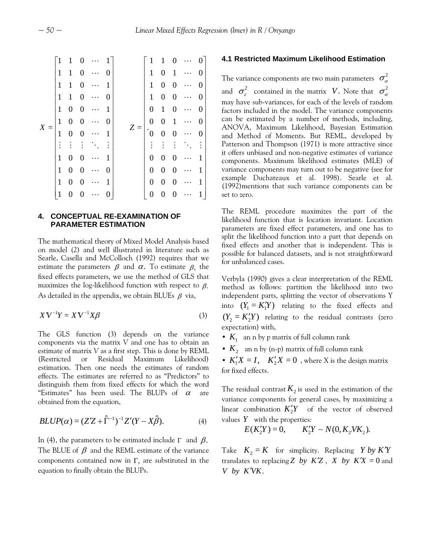|                          | $\mathbf{1}$ | 1                | 0                | . | 1        |       | $\mathbf{1}$     | 1                | 0                | . |          |
|--------------------------|--------------|------------------|------------------|---|----------|-------|------------------|------------------|------------------|---|----------|
|                          | 1            | $\mathbf{1}$     | $\boldsymbol{0}$ | . | $\theta$ |       | $\mathbf{1}$     | $\boldsymbol{0}$ | 1                | . | $\Omega$ |
|                          | 1            | $\mathbf{1}$     | $\boldsymbol{0}$ |   | 1        |       | 1                | $\boldsymbol{0}$ | $\boldsymbol{0}$ | . | $\Omega$ |
|                          | 1            | $\mathbf{1}$     | $\boldsymbol{0}$ |   | 0        |       | $\mathbf{1}$     | $\boldsymbol{0}$ | $\boldsymbol{0}$ |   | 0        |
|                          | $\mathbf{1}$ | $\boldsymbol{0}$ | $\boldsymbol{0}$ |   | 1        |       | $\overline{0}$   | $\mathbf{1}$     | 0                |   | 0        |
| $X_{\mathcal{E}}$<br>$=$ | 1            | $\boldsymbol{0}$ | 0                |   | 0        | $Z =$ | $\boldsymbol{0}$ | $\overline{0}$   | 1                |   | $\Omega$ |
|                          | 1            | $\boldsymbol{0}$ | $\boldsymbol{0}$ | . | 1        |       | $0^\cdot$        | $\boldsymbol{0}$ | $\boldsymbol{0}$ | . | $\Omega$ |
|                          | $\vdots$     | $\ddot{\cdot}$   | $\vdots$         |   |          |       | $\vdots$         | $\vdots$         | $\vdots$         |   |          |
|                          | $\mathbf{1}$ | $\boldsymbol{0}$ | 0                |   | 1        |       | $\boldsymbol{0}$ | $\boldsymbol{0}$ | $\boldsymbol{0}$ |   | 1        |
|                          | $\mathbf{1}$ | $\boldsymbol{0}$ | 0                |   | 0        |       | $\boldsymbol{0}$ | $\boldsymbol{0}$ | $\boldsymbol{0}$ |   | 1        |
|                          | 1            | $\boldsymbol{0}$ | 0                |   | 1        |       | $\boldsymbol{0}$ | 0                | $\boldsymbol{0}$ |   | 1        |
|                          | 1            | 0                | 0                |   | 0        |       | $\boldsymbol{0}$ |                  | $\rm 0$          |   |          |

## **4. CONCEPTUAL RE-EXAMINATION OF PARAMETER ESTIMATION**

The mathematical theory of Mixed Model Analysis based on model (2) and well illustrated in literature such as Searle, Casella and McColloch (1992) requires that we estimate the parameters  $\beta$  and  $\alpha$ . To estimate  $\beta$ , the fixed effects parameters, we use the method of GLS that maximizes the log-likelihood function with respect to  $\beta$ . As detailed in the appendix, we obtain BLUEs  $\beta$  via,

$$
X'V^{-1}Y = X'V^{-1}X\beta
$$
 (3)

The GLS function (3) depends on the variance components via the matrix *V* and one has to obtain an estimate of matrix *V* as a first step. This is done by REML (Restricted or Residual Maximum Likelihood) estimation. Then one needs the estimates of random effects. The estimates are referred to as "Predictors" to distinguish them from fixed effects for which the word "Estimates" has been used. The BLUPs of  $\alpha$  are obtained from the equation,

$$
BLUP(\alpha) = (Z'Z + \hat{\Gamma}^{-1})^{-1}Z'(Y - X\hat{\beta}).
$$
 (4)

In (4), the parameters to be estimated include  $\Gamma$  and  $\beta$ . The BLUE of  $\beta$  and the REML estimate of the variance components contained now in  $\Gamma$ , are substituted in the equation to finally obtain the BLUPs.

# **4.1 Restricted Maximum Likelihood Estimation**

The variance components are two main parameters  $\sigma_{\alpha}^2$ and  $\sigma_{\varepsilon}^2$  contained in the matrix V. Note that  $\sigma_{\alpha}^2$ may have sub-variances, for each of the levels of random factors included in the model. The variance components can be estimated by a number of methods, including, ANOVA, Maximum Likelihood, Bayesian Estimation and Method of Moments. But REML, developed by Patterson and Thompson (1971) is more attractive since it offers unbiased and non-negative estimates of variance components. Maximum likelihood estimates (MLE) of variance components may turn out to be negative (see for example Duchateaux et al. 1998). Searle et al. (1992)mentions that such variance components can be set to zero.

The REML procedure maximizes the part of the likelihood function that is location invariant. Location parameters are fixed effect parameters, and one has to split the likelihood function into a part that depends on fixed effects and another that is independent. This is possible for balanced datasets, and is not straightforward for unbalanced cases.

Verbyla (1990) gives a clear interpretation of the REML method as follows: partition the likelihood into two independent parts, splitting the vector of observations Y into  $(Y_1 = K_1'Y)$  relating to the fixed effects and  $(Y_2 = K_2'Y)$  relating to the residual contrasts (zero expectation) with,

- $K_1$  an n by p matrix of full column rank
- $K_2$  an n by (n-p) matrix of full column rank

•  $K'_1X = I$ ,  $K'_2X = 0$ , where X is the design matrix for fixed effects.

The residual contrast  $K_2$  is used in the estimation of the variance components for general cases, by maximizing a linear combination  $K'_2Y$  of the vector of observed values *Y* with the properties:

$$
E(K'_2Y) = 0,
$$
  $K'_2Y \sim N(0, K_2VK_2).$ 

Take  $K_2 = K$  for simplicity. Replacing *Y by K'Y* translates to replacing *Z by*  $K'Z$ , *X by*  $K'X = 0$  and *V by* . *K VK*′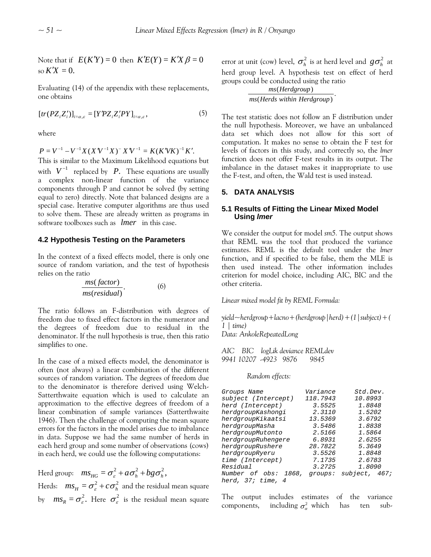Note that if  $E(K'Y) = 0$  then  $K'E(Y) = K'X \beta = 0$  $\int$  *so*  $K'X = 0$ .

Evaluating (14) of the appendix with these replacements, one obtains

$$
[tr(PZ_iZ_i')]_{i=\alpha,\varepsilon} = [Y'PZ_iZ_i'PY]_{i=\alpha,\varepsilon},\tag{5}
$$

where

$$
P = V^{-1} - V^{-1} X (X'V^{-1}X)^{-} X'V^{-1} = K (K'VK)^{-1} K'.
$$

This is similar to the Maximum Likelihood equations but with  $V^{-1}$  replaced by  $P$ . These equations are usually a complex non-linear function of the variance components through P and cannot be solved (by setting equal to zero) directly. Note that balanced designs are a special case. Iterative computer algorithms are thus used to solve them. These are already written as programs in software toolboxes such as *lmer* in this case.

## **4.2 Hypothesis Testing on the Parameters**

In the context of a fixed effects model, there is only one source of random variation, and the test of hypothesis relies on the ratio

$$
\frac{ms(factor)}{ms(residual)}.\t(6)
$$

The ratio follows an F-distribution with degrees of freedom due to fixed effect factors in the numerator and the degrees of freedom due to residual in the denominator. If the null hypothesis is true, then this ratio simplifies to one.

In the case of a mixed effects model, the denominator is often (not always) a linear combination of the different sources of random variation. The degrees of freedom due to the denominator is therefore derived using Welch-Satterthwaite equation which is used to calculate an approximation to the effective degrees of freedom of a linear combination of sample variances (Satterthwaite 1946). Then the challenge of computing the mean square errors for the factors in the model arises due to imbalance in data. Suppose we had the same number of herds in each herd group and some number of observations (cows) in each herd, we could use the following computations:

Herd group:  $ms_{HG} = \sigma_{\varepsilon}^2 + a \sigma_{h}^2 + bg \sigma_{h}^2$ , Herds:  $ms_{_H} = \sigma_s^2 + c\sigma_h^2$  and the residual mean square by  $ms_R = \sigma_{\varepsilon}^2$ . Here  $\sigma_{\varepsilon}^2$  is the residual mean square

error at unit (cow) level,  $\sigma_h^2$  is at herd level and  $\,g\sigma_h^2\,$  at herd group level. A hypothesis test on effect of herd groups could be conducted using the ratio

$$
\frac{ms(Herdgroup)}{ms(Herds within Herdgroup)}.
$$

The test statistic does not follow an F distribution under the null hypothesis. Moreover, we have an unbalanced data set which does not allow for this sort of computation. It makes no sense to obtain the F test for levels of factors in this study, and correctly so, the *lmer* function does not offer F-test results in its output. The imbalance in the dataset makes it inappropriate to use the F-test, and often, the Wald test is used instead.

## **5. DATA ANALYSIS**

## **5.1 Results of Fitting the Linear Mixed Model Using** *lmer*

We consider the output for model *sm5.* The output shows that REML was the tool that produced the variance estimates. REML is the default tool under the *lmer* function, and if specified to be false, them the MLE is then used instead. The other information includes criterion for model choice, including AIC, BIC and the other criteria.

*Linear mixed model fit by REML Formula:* 

*yield~herdgroup+lacno+(herdgroup|herd)+(1|subject)+( 1 | time)* 

*Data: AnkoleRepeatedLong* 

*AIC BIC logLik deviance REMLdev 9941 10207 -4923 9876 9845* 

*Random effects:* 

| Groups Name                                  | <i>Variance</i> | Std.Dev.      |  |  |  |
|----------------------------------------------|-----------------|---------------|--|--|--|
| subject (Intercept)                          | 118.7943        | 10.8993       |  |  |  |
| herd (Intercept)                             | 3.5525          | 1.8848        |  |  |  |
| herdgroupKashongi                            | 2.3110          | 1.5202        |  |  |  |
| herdgroupKikaatsi                            | 13.5369         | 3.6792        |  |  |  |
| herdgroupMasha                               | 3.5486          | 1.8838        |  |  |  |
| herdgroupMutonto                             | 2.5166          | 1.5864        |  |  |  |
| herdgroupRuhengere                           | 6.8931          | 2.6255        |  |  |  |
| herdgroupRushere                             | 28.7822         | 5.3649        |  |  |  |
| herdgroupRyeru                               | 3.5526          | 1.8848        |  |  |  |
| time (Intercept)                             | 7.1735          | 2.6783        |  |  |  |
| Residual                                     | 3.2725          | 1.8090        |  |  |  |
| Number of obs:<br>1868,<br>herd, 37; time, 4 | groups:         | subject, 467; |  |  |  |

The output includes estimates of the variance components, including  $\sigma_{\alpha}^2$  which has ten sub-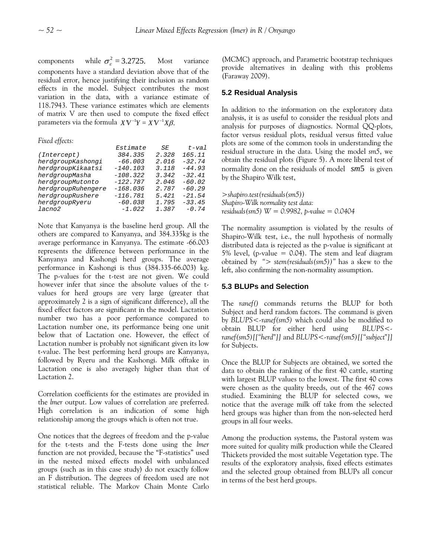components while  $\sigma_{\varepsilon}^2 = 3.2725$ . Most variance components have a standard deviation above that of the residual error, hence justifying their inclusion as random effects in the model. Subject contributes the most variation in the data, with a variance estimate of 118.7943. These variance estimates which are elements of matrix V are then used to compute the fixed effect parameters via the formula  $X'V^{-1}Y = X'V^{-1}X\beta$ .

## *Fixed effects:*

|                    | Estimate   | SE    | $t$ -val |
|--------------------|------------|-------|----------|
| (Intercept)        | 384.335    | 2.328 | 165.11   |
| herdgroupKashongi  | $-66.003$  | 2.016 | $-32.74$ |
| herdgroupKikaatsi  | $-140.103$ | 3.118 | $-44.93$ |
| herdgroupMasha     | $-108.322$ | 3.342 | $-32.41$ |
| herdgroupMutonto   | $-122.787$ | 2.046 | $-60.02$ |
| herdgroupRuhengere | $-168.036$ | 2.787 | $-60.29$ |
| herdgroupRushere   | $-116.781$ | 5.421 | $-21.54$ |
| herdgroupRyeru     | $-60.038$  | 1.795 | $-33.45$ |
| <i>lacno2</i>      | $-1.022$   | 1.387 | $-0.74$  |

Note that Kanyanya is the baseline herd group. All the others are compared to Kanyanya, and 384.335kg is the average performance in Kanyanya. The estimate -66.003 represents the difference between performance in the Kanyanya and Kashongi herd groups. The average performance in Kashongi is thus (384.335-66.003) kg. The p-values for the t-test are not given. We could however infer that since the absolute values of the tvalues for herd groups are very large (greater that approximately 2 is a sign of significant difference), all the fixed effect factors are significant in the model. Lactation number two has a poor performance compared to Lactation number one, its performance being one unit below that of Lactation one. However, the effect of Lactation number is probably not significant given its low t-value. The best performing herd groups are Kanyanya, followed by Ryeru and the Kashongi. Milk offtake in Lactation one is also averagely higher than that of Lactation 2.

Correlation coefficients for the estimates are provided in the *lmer* output. Low values of correlation are preferred. High correlation is an indication of some high relationship among the groups which is often not true.

One notices that the degrees of freedom and the p-value for the t-tests and the F-tests done using the *lmer* function are not provided, because the "F-statistics" used in the nested mixed effects model with unbalanced groups (such as in this case study) do not exactly follow an F distribution. The degrees of freedom used are not statistical reliable. The Markov Chain Monte Carlo

(MCMC) approach, and Parametric bootstrap techniques provide alternatives in dealing with this problems (Faraway 2009).

## **5.2 Residual Analysis**

In addition to the information on the exploratory data analysis, it is as useful to consider the residual plots and analysis for purposes of diagnostics. Normal QQ-plots, factor versus residual plots, residual versus fitted value plots are some of the common tools in understanding the residual structure in the data. Using the model *sm5*, we obtain the residual plots (Figure 5). A more liberal test of normality done on the residuals of model  $\, \textit{s} \, m5 \,$  is given by the Shapiro Wilk test,

*>shapiro.test(residuals(sm5)) Shapiro-Wilk normality test data: residuals(sm5) W = 0.9982, p-value = 0.0404*

The normality assumption is violated by the results of Shapiro-Wilk test, i.e., the null hypothesis of normally distributed data is rejected as the p-value is significant at 5% level, (p-value  $= 0.04$ ). The stem and leaf diagram obtained by *"> stem(residuals(sm5))"* has a skew to the left, also confirming the non-normality assumption.

## **5.3 BLUPs and Selection**

The *ranef()* commands returns the BLUP for both Subject and herd random factors. The command is given by *BLUPS<-ranef(sm5)* which could also be modified to obtain BLUP for either herd using *BLUPS< ranef(sm5)[["herd"]]* and *BLUPS<-ranef(sm5)[["subject"]]* for Subjects.

Once the BLUP for Subjects are obtained, we sorted the data to obtain the ranking of the first 40 cattle, starting with largest BLUP values to the lowest. The first 40 cows were chosen as the quality breeds, out of the 467 cows studied. Examining the BLUP for selected cows, we notice that the average milk off take from the selected herd groups was higher than from the non-selected herd groups in all four weeks.

Among the production systems, the Pastoral system was more suited for quality milk production while the Cleared Thickets provided the most suitable Vegetation type. The results of the exploratory analysis, fixed effects estimates and the selected group obtained from BLUPs all concur in terms of the best herd groups.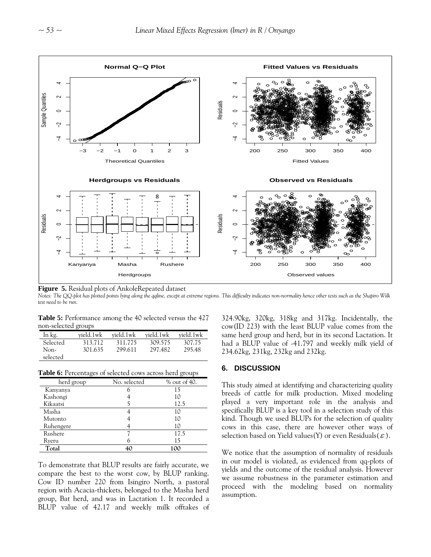

**Figure 5.** Residual plots of AnkoleRepeated dataset

*Notes: The QQ-plot has plotted points lying along the qqline, except at extreme regions. This difficulty indicates non-normality hence other tests such as the Shapiro Wilk test need to be run.*

**Table 5:** Performance among the 40 selected versus the 427 non-selected groups

| In kg.   | vield.1wk | vield.1wk | vield.1wk | vield.1wk |
|----------|-----------|-----------|-----------|-----------|
| Selected | 313.712   | 311.775   | 309.575   | 307.75    |
| Non-     | 301.635   | 299.611   | 297.482   | 295.48    |
| selected |           |           |           |           |

**Table 6:** Percentages of selected cows across herd groups

| herd group | No. selected | % out of 40. |  |
|------------|--------------|--------------|--|
| Kanyanya   |              | 15           |  |
| Kashongi   |              | 10           |  |
| Kikaatsi   |              | 12.5         |  |
| Masha      |              | 10           |  |
| Mutonto    |              | 10           |  |
| Ruhengere  |              | 10           |  |
| Rushere    |              | 17.5         |  |
| Ryeru      |              | 15           |  |
| Total      | 10           | 100          |  |

To demonstrate that BLUP results are fairly accurate, we compare the best to the worst cow, by BLUP ranking. Cow ID number 220 from Isingiro North, a pastoral region with Acacia-thickets, belonged to the Masha herd group, Bat herd, and was in Lactation 1. It recorded a BLUP value of 42.17 and weekly milk offtakes of 324.90kg, 320kg, 318kg and 317kg. Incidentally, the cow(ID 223) with the least BLUP value comes from the same herd group and herd, but in its second Lactation. It had a BLUP value of -41.797 and weekly milk yield of 234.62kg, 231kg, 232kg and 232kg.

## **6. DISCUSSION**

This study aimed at identifying and characterizing quality breeds of cattle for milk production. Mixed modeling played a very important role in the analysis and specifically BLUP is a key tool in a selection study of this kind. Though we used BLUPs for the selection of quality cows in this case, there are however other ways of selection based on Yield values(Y) or even Residuals( $\varepsilon$ ).

We notice that the assumption of normality of residuals in our model is violated, as evidenced from qq-plots of yields and the outcome of the residual analysis. However we assume robustness in the parameter estimation and proceed with the modeling based on normality assumption.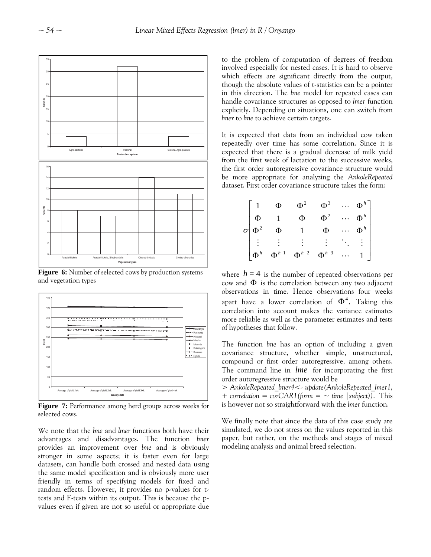

Figure 6: Number of selected cows by production systems and vegetation types



**Figure 7:** Performance among herd groups across weeks for selected cows.

We note that the *lme* and *lmer* functions both have their advantages and disadvantages. The function *lmer* provides an improvement over *lme* and is obviously stronger in some aspects; it is faster even for large datasets, can handle both crossed and nested data using the same model specification and is obviously more user friendly in terms of specifying models for fixed and random effects. However, it provides no p-values for ttests and F-tests within its output. This is because the pvalues even if given are not so useful or appropriate due to the problem of computation of degrees of freedom involved especially for nested cases. It is hard to observe which effects are significant directly from the output, though the absolute values of t-statistics can be a pointer in this direction. The *lme* model for repeated cases can handle covariance structures as opposed to *lmer* function explicitly. Depending on situations, one can switch from *lmer* to *lme* to achieve certain targets.

It is expected that data from an individual cow taken repeatedly over time has some correlation. Since it is expected that there is a gradual decrease of milk yield from the first week of lactation to the successive weeks, the first order autoregressive covariance structure would be more appropriate for analyzing the *AnkoleRepeated* dataset. First order covariance structure takes the form:

|                                                        | Ф                                                              | $\Phi^2$     | $\Phi^3$          | $\begin{bmatrix} \cdots & \Phi^h \\ \cdots & \Phi^h \\ \cdots & \Phi^h \end{bmatrix}$      |
|--------------------------------------------------------|----------------------------------------------------------------|--------------|-------------------|--------------------------------------------------------------------------------------------|
| $\begin{bmatrix} \Phi \\ \Phi \\ \Phi^2 \end{bmatrix}$ |                                                                | $\bar{\Phi}$ | $\Phi^2$          |                                                                                            |
|                                                        |                                                                |              | $\overline{\Phi}$ |                                                                                            |
|                                                        | $\left  \begin{array}{ccc} 1 & 1 \\ 1 & 1 \end{array} \right $ |              |                   | $\begin{array}{ccc} \vdots & \ddots & \vdots \\ \downarrow^{h-3} & \cdots & 1 \end{array}$ |
| $\phi^h$                                               | $\Phi^{h-1}$                                                   | $\Phi^{h-2}$ | $\Phi^{h-3}$      |                                                                                            |

where  $h = 4$  is the number of repeated observations per cow and Φ is the correlation between any two adjacent observations in time. Hence observations four weeks apart have a lower correlation of  $\Phi^4.$  Taking this correlation into account makes the variance estimates more reliable as well as the parameter estimates and tests of hypotheses that follow.

The function *lme* has an option of including a given covariance structure, whether simple, unstructured, compound or first order autoregressive, among others. The command line in *lme* for incorporating the first order autoregressive structure would be

*> AnkoleRepeated\_lmer4<- update(AnkoleRepeated\_lmer1,*   $+$  correlation = corCAR1(form =  $\sim$  time |subject)). This is however not so straightforward with the *lmer* function.

We finally note that since the data of this case study are simulated, we do not stress on the values reported in this paper, but rather, on the methods and stages of mixed modeling analysis and animal breed selection.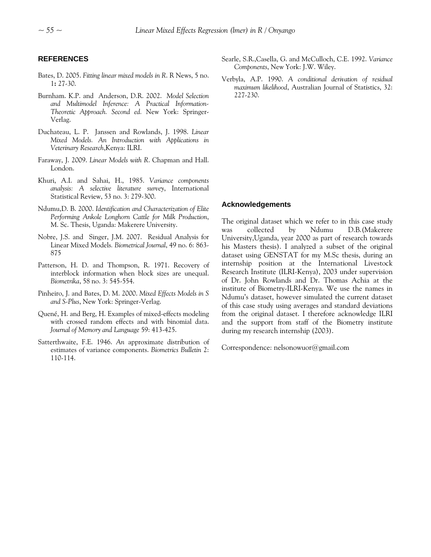## **REFERENCES**

- Bates, D. 2005. *Fitting linear mixed models in R*. R News, 5 no. 1**:** 27-30.
- Burnham. K.P. and Anderson, D.R. 2002. *Model Selection and Multimodel Inference: A Practical Information-Theoretic Approach. Second ed.* New York: Springer-Verlag.
- Duchateau, L. P. Janssen and Rowlands, J. 1998. *Linear Mixed Models. An Introduction with Applications in Veterinary Research*,Kenya: ILRI.
- Faraway, J. 2009. *Linear Models with R*. Chapman and Hall. London.
- Khuri, A.I. and Sahai, H., 1985. *Variance components analysis: A selective literature survey*, International Statistical Review, 53 no. 3: 279-300.
- Ndumu,D. B. 2000. *Identification and Characterization of Elite Performing Ankole Longhorn Cattle for Milk Production*, M. Sc. Thesis, Uganda: Makerere University.
- Nobre, J.S. and Singer, J.M. 2007. Residual Analysis for Linear Mixed Models*. Biometrical Journal*, 49 no. 6: 863- 875
- Patterson, H. D. and Thompson, R. 1971. Recovery of interblock information when block sizes are unequal. *Biometrika*, 58 no. 3: 545-554.
- Pinheiro, J. and Bates, D. M. 2000. *Mixed Effects Models in S and S-Plus*, New York: Springer-Verlag.
- Quené, H. and Berg, H. Examples of mixed-effects modeling with crossed random effects and with binomial data. *Journal of Memory and Language* 59: 413-425.
- Satterthwaite, F.E. 1946. *An* approximate distribution of estimates of variance components. *Biometrics Bulletin* 2: 110-114.
- Searle, S.R.,Casella, G. and McCulloch, C.E. 1992. *Variance Components*, New York: J.W. Wiley.
- Verbyla, A.P. 1990. *A conditional derivation of residual maximum likelihood*, Australian Journal of Statistics, 32: 227-230.

## **Acknowledgements**

The original dataset which we refer to in this case study was collected by Ndumu D.B.(Makerere University,Uganda, year 2000 as part of research towards his Masters thesis). I analyzed a subset of the original dataset using GENSTAT for my M.Sc thesis, during an internship position at the International Livestock Research Institute (ILRI-Kenya), 2003 under supervision of Dr. John Rowlands and Dr. Thomas Achia at the institute of Biometry-ILRI-Kenya. We use the names in Ndumu's dataset, however simulated the current dataset of this case study using averages and standard deviations from the original dataset. I therefore acknowledge ILRI and the support from staff of the Biometry institute during my research internship (2003).

Correspondence: nelsonowuor@gmail.com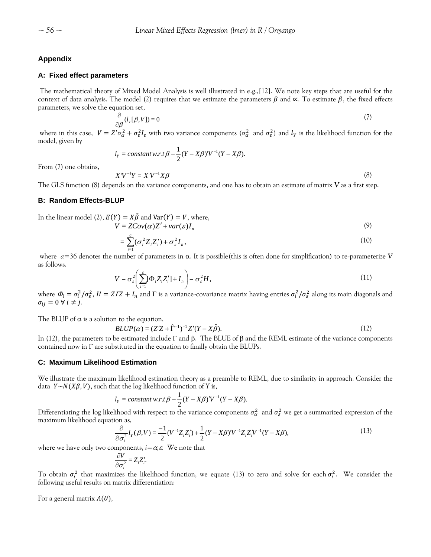## **Appendix**

## **A: Fixed effect parameters**

 The mathematical theory of Mixed Model Analysis is well illustrated in e.g.,[12]. We note key steps that are useful for the context of data analysis. The model (2) requires that we estimate the parameters  $\beta$  and  $\alpha$ . To estimate  $\beta$ , the fixed effects parameters, we solve the equation set,

$$
\frac{\partial}{\partial \beta} (l_{Y}[\beta, V]) = 0 \tag{7}
$$

where in this case,  $V = Z' \sigma_{\alpha}^2 + \sigma_{\varepsilon}^2 I_{\varepsilon}$  with two variance components  $(\sigma_{\alpha}^2$  and  $\sigma_{\varepsilon}^2)$  and  $I_{Y}$  is the likelihood function for the model, given by

$$
l_Y = constant w.r.t \beta - \frac{1}{2}(Y - X\beta)'V^{-1}(Y - X\beta).
$$

From (7) one obtains,

$$
XV^{-1}Y = XV^{-1}X\beta
$$
 (8)

The GLS function (8) depends on the variance components, and one has to obtain an estimate of matrix *V* as a first step.

## **B: Random Effects-BLUP**

In the linear model (2), 
$$
E(Y) = X\hat{\beta}
$$
 and  $Var(Y) = V$ , where,  
\n
$$
V = ZCov(\alpha)Z' + var(\varepsilon)I_n
$$
\n(9)

$$
=\sum_{i=1}^{a}(\sigma_i^2 Z_i Z_i') + \sigma_s^2 I_n,
$$
\n(10)

where  $a=36$  denotes the number of parameters in  $\alpha$ . It is possible(this is often done for simplification) to re-parameterize *V* as follows.

$$
V = \sigma_{\varepsilon}^{2} \left( \sum_{i=1}^{s} [\Phi_{i} Z_{i} Z_{i}'] + I_{n} \right) = \sigma_{\varepsilon}^{2} H,
$$
\n(11)

where  $\Phi_i = \sigma_i^2/\sigma_{\epsilon}^2$ ,  $H = ZIZ + I_n$  and  $\Gamma$  is a variance-covariance matrix having entries  $\sigma_i^2/\sigma_{\epsilon}^2$  along its main diagonals and  $\sigma_{ii} = 0 \forall i \neq j.$ 

The BLUP of  $\alpha$  is a solution to the equation,

$$
BLUP(\alpha) = (Z'Z + \hat{\Gamma}^{-1})^{-1}Z'(Y - X\hat{\beta}).
$$
\n(12)

In (12), the parameters to be estimated include Γ and β. The BLUE of β and the REML estimate of the variance components contained now in  $\Gamma$  are substituted in the equation to finally obtain the BLUPs.

#### **C: Maximum Likelihood Estimation**

We illustrate the maximum likelihood estimation theory as a preamble to REML, due to similarity in approach. Consider the data  $Y \sim N(X\beta, V)$ , such that the log likelihood function of *Y* is,

$$
l_{Y} = constant w.r.t \beta - \frac{1}{2}(Y - X\beta)'V^{-1}(Y - X\beta).
$$

Differentiating the log likelihood with respect to the variance components  $\sigma_\alpha^2$  and  $\sigma_\varepsilon^2$  we get a summarized expression of the maximum likelihood equation as,

$$
\frac{\partial}{\partial \sigma_i^2} l_Y(\beta, V) = \frac{-1}{2} (V^{-1} Z_i Z_i') + \frac{1}{2} (Y - X\beta)' V^{-1} Z_i Z_i' V^{-1} (Y - X\beta), \tag{13}
$$

where we have only two components,  $i = \alpha$ ,  $\varepsilon$ . We note that

$$
\frac{\partial V}{\partial \sigma_i^2} = Z_i Z_i'.
$$

To obtain  $\sigma_i^2$  that maximizes the likelihood function, we equate (13) to zero and solve for each  $\sigma_i^2$ . We consider the following useful results on matrix differentiation:

For a general matrix  $A(\theta)$ ,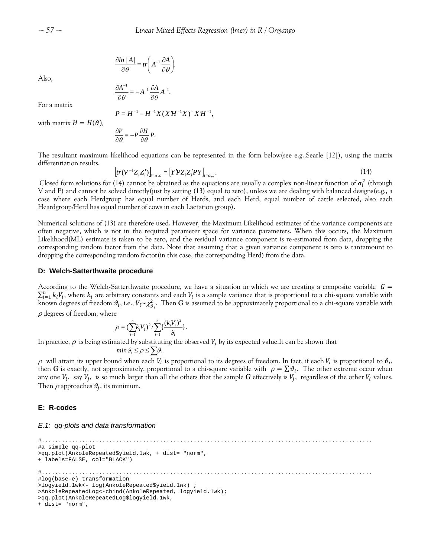$$
\frac{\partial \ln |A|}{\partial \theta} = tr\bigg(A^{-1} \frac{\partial A}{\partial \theta}\bigg).
$$

Also,

$$
\frac{\partial A^{-1}}{\partial \theta} = -A^{-1} \frac{\partial A}{\partial \theta} A^{-1}.
$$

For a matrix

$$
P = H^{-1} - H^{-1}X (X'H^{-1}X)^{-} X'H^{-1},
$$

⎠

with matrix  $H = H(\theta)$ ,

$$
\frac{\partial P}{\partial \theta} = -P \frac{\partial H}{\partial \theta} P.
$$

The resultant maximum likelihood equations can be represented in the form below(see e.g.,Searle [12]), using the matrix differentiation results.

$$
\left[tr(V^{-1}Z_iZ_i')\right]_{i=\alpha,\varepsilon} = \left[YPZ_iZ_i'PY\right]_{i=\alpha,\varepsilon}.\tag{14}
$$

Closed form solutions for (14) cannot be obtained as the equations are usually a complex non-linear function of  $\sigma_i^2$  (through V and P) and cannot be solved directly(just by setting (13) equal to zero), unless we are dealing with balanced designs(e.g., a case where each Herdgroup has equal number of Herds, and each Herd, equal number of cattle selected, also each Heardgroup/Herd has equal number of cows in each Lactation group).

Numerical solutions of (13) are therefore used. However, the Maximum Likelihood estimates of the variance components are often negative, which is not in the required parameter space for variance parameters. When this occurs, the Maximum Likelihood(ML) estimate is taken to be zero, and the residual variance component is re-estimated from data, dropping the corresponding random factor from the data. Note that assuming that a given variance component is zero is tantamount to dropping the corresponding random factor(in this case, the corresponding Herd) from the data.

#### **D: Welch-Satterthwaite procedure**

According to the Welch-Satterthwaite procedure, we have a situation in which we are creating a composite variable  $G =$  $\sum_{i=1}^n k_i V_i$ , where  $k_i$  are arbitrary constants and each  $V_i$  is a sample variance that is proportional to a chi-square variable with known degrees of freedom  $\vartheta_i$ , i.e.,  $V_i \sim \chi^2_{\vartheta_i}$ . Then G is assumed to be approximately proportional to a chi-square variable with

 $\rho$  degrees of freedom, where

$$
\rho = (\sum_{i=1}^n k_i V_i)^2 / \sum_{i=1}^n \{\frac{(k_i V_i)^2}{9},\}
$$

In practice,  $\rho$  is being estimated by substituting the observed  $V_i$  by its expected value.It can be shown that

$$
min \mathcal{G}_i \leq \rho \leq \sum \mathcal{G}_i.
$$

 $\rho$  will attain its upper bound when each  $V_i$  is proportional to its degrees of freedom. In fact, if each  $V_i$  is proportional to  $\vartheta_i$ , then *G* is exactly, not approximately, proportional to a chi-square variable with  $\rho = \sum \vartheta_i$ . The other extreme occur when any one  $V_i$ , say  $V_i$ , is so much larger than all the others that the sample G effectively is  $V_i$ , regardless of the other  $V_i$  values. Then  $\rho$  approaches  $\vartheta_i$ , its minimum.

## **E: R-codes**

#### *E.1: qq-plots and data transformation*

```
#.................................................................................................. 
#a simple qq-plot 
>qq.plot(AnkoleRepeated$yield.1wk, + dist= "norm", 
+ labels=FALSE, col="BLACK") 
#.................................................................................................. 
#log(base-e) transformation 
>logyield.1wk<- log(AnkoleRepeated$yield.1wk) ; 
>AnkoleRepeatedLog<-cbind(AnkoleRepeated, logyield.1wk); 
>qq.plot(AnkoleRepeatedLog$logyield.1wk, 
+ dist= "norm",
```